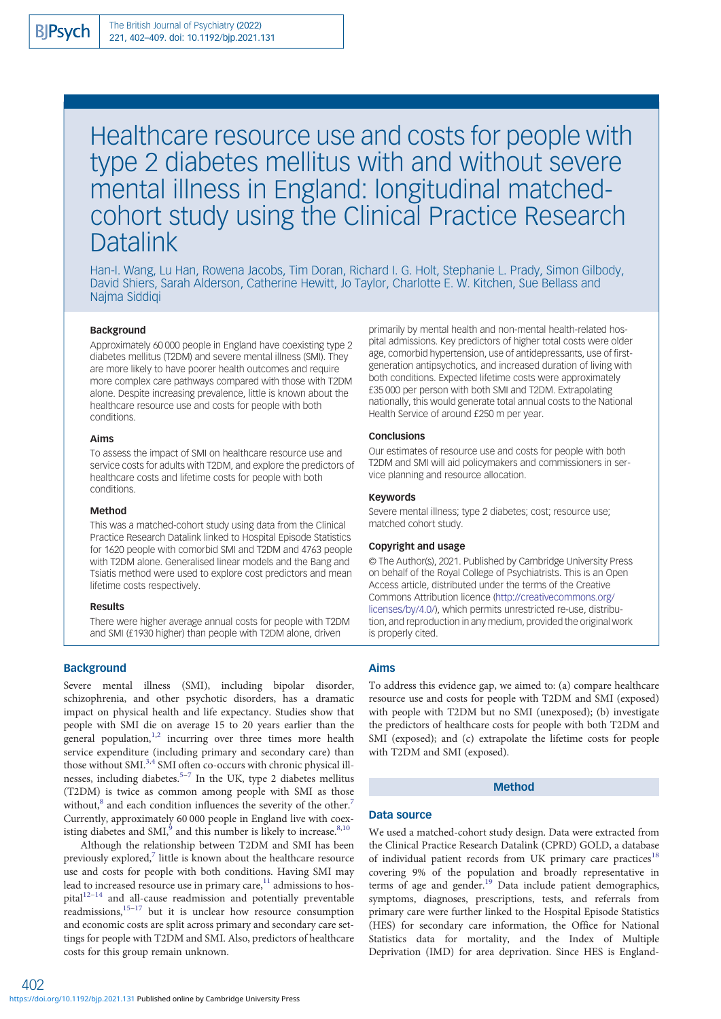# Healthcare resource use and costs for people with type 2 diabetes mellitus with and without severe mental illness in England: longitudinal matchedcohort study using the Clinical Practice Research **Datalink**

Han-I. Wang, Lu Han, Rowena Jacobs, Tim Doran, Richard I. G. Holt, Stephanie L. Prady, Simon Gilbody, David Shiers, Sarah Alderson, Catherine Hewitt, Jo Taylor, Charlotte E. W. Kitchen, Sue Bellass and Najma Siddiqi

#### Background

Approximately 60 000 people in England have coexisting type 2 diabetes mellitus (T2DM) and severe mental illness (SMI). They are more likely to have poorer health outcomes and require more complex care pathways compared with those with T2DM alone. Despite increasing prevalence, little is known about the healthcare resource use and costs for people with both conditions.

#### Aims

To assess the impact of SMI on healthcare resource use and service costs for adults with T2DM, and explore the predictors of healthcare costs and lifetime costs for people with both conditions.

#### Method

This was a matched-cohort study using data from the Clinical Practice Research Datalink linked to Hospital Episode Statistics for 1620 people with comorbid SMI and T2DM and 4763 people with T2DM alone. Generalised linear models and the Bang and Tsiatis method were used to explore cost predictors and mean lifetime costs respectively.

#### Results

There were higher average annual costs for people with T2DM and SMI (£1930 higher) than people with T2DM alone, driven

#### **Background**

Severe mental illness (SMI), including bipolar disorder, schizophrenia, and other psychotic disorders, has a dramatic impact on physical health and life expectancy. Studies show that people with SMI die on average 15 to 20 years earlier than the general population, $1,2$  $1,2$  $1,2$  incurring over three times more health service expenditure (including primary and secondary care) than those without SMI.<sup>3,4</sup> SMI often co-occurs with chronic physical ill-nesses, including diabetes.<sup>[5](#page-6-0)-[7](#page-6-0)</sup> In the UK, type 2 diabetes mellitus (T2DM) is twice as common among people with SMI as those without,<sup>8</sup> and each condition influences the severity of the other.<sup>7</sup> Currently, approximately 60 000 people in England live with coexisting diabetes and SMI, $^9$  and this number is likely to increase.  $^{8,10}$  $^{8,10}$  $^{8,10}$  $^{8,10}$  $^{8,10}$ 

Although the relationship between T2DM and SMI has been previously explored, $\frac{7}{7}$  $\frac{7}{7}$  $\frac{7}{7}$  little is known about the healthcare resource use and costs for people with both conditions. Having SMI may lead to increased resource use in primary care, $11$  admissions to hos $pital$ <sup>[12](#page-6-0)–[14](#page-6-0)</sup> and all-cause readmission and potentially preventable readmissions,<sup>[15](#page-6-0)–[17](#page-6-0)</sup> but it is unclear how resource consumption and economic costs are split across primary and secondary care settings for people with T2DM and SMI. Also, predictors of healthcare costs for this group remain unknown.

age, comorbid hypertension, use of antidepressants, use of firstgeneration antipsychotics, and increased duration of living with both conditions. Expected lifetime costs were approximately £35 000 per person with both SMI and T2DM. Extrapolating nationally, this would generate total annual costs to the National Health Service of around £250 m per year. **Conclusions** Our estimates of resource use and costs for people with both T2DM and SMI will aid policymakers and commissioners in ser-

vice planning and resource allocation.

primarily by mental health and non-mental health-related hospital admissions. Key predictors of higher total costs were older

## Keywords

Severe mental illness; type 2 diabetes; cost; resource use; matched cohort study.

#### Copyright and usage

© The Author(s), 2021. Published by Cambridge University Press on behalf of the Royal College of Psychiatrists. This is an Open Access article, distributed under the terms of the Creative Commons Attribution licence [\(http://creativecommons.org/](http://creativecommons.org/licenses/by/4.0/) [licenses/by/4.0/](http://creativecommons.org/licenses/by/4.0/)), which permits unrestricted re-use, distribution, and reproduction in any medium, provided the original work is properly cited.

#### Aims

To address this evidence gap, we aimed to: (a) compare healthcare resource use and costs for people with T2DM and SMI (exposed) with people with T2DM but no SMI (unexposed); (b) investigate the predictors of healthcare costs for people with both T2DM and SMI (exposed); and (c) extrapolate the lifetime costs for people with T2DM and SMI (exposed).

## Method

#### Data source

We used a matched-cohort study design. Data were extracted from the Clinical Practice Research Datalink (CPRD) GOLD, a database of individual patient records from UK primary care practices<sup>[18](#page-6-0)</sup> covering 9% of the population and broadly representative in terms of age and gender.<sup>[19](#page-6-0)</sup> Data include patient demographics, symptoms, diagnoses, prescriptions, tests, and referrals from primary care were further linked to the Hospital Episode Statistics (HES) for secondary care information, the Office for National Statistics data for mortality, and the Index of Multiple Deprivation (IMD) for area deprivation. Since HES is England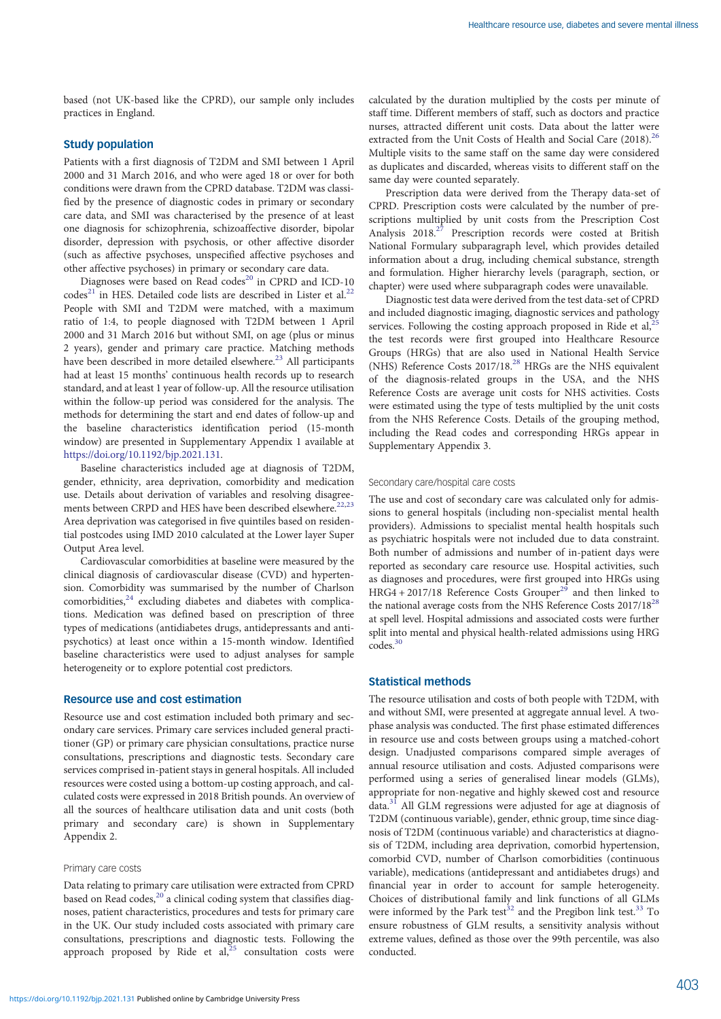based (not UK-based like the CPRD), our sample only includes practices in England.

#### Study population

Patients with a first diagnosis of T2DM and SMI between 1 April 2000 and 31 March 2016, and who were aged 18 or over for both conditions were drawn from the CPRD database. T2DM was classified by the presence of diagnostic codes in primary or secondary care data, and SMI was characterised by the presence of at least one diagnosis for schizophrenia, schizoaffective disorder, bipolar disorder, depression with psychosis, or other affective disorder (such as affective psychoses, unspecified affective psychoses and other affective psychoses) in primary or secondary care data.

Diagnoses were based on Read codes<sup>[20](#page-6-0)</sup> in CPRD and ICD-10  $codes<sup>21</sup>$  $codes<sup>21</sup>$  $codes<sup>21</sup>$  in HES. Detailed code lists are described in Lister et al.<sup>[22](#page-7-0)</sup> People with SMI and T2DM were matched, with a maximum ratio of 1:4, to people diagnosed with T2DM between 1 April 2000 and 31 March 2016 but without SMI, on age (plus or minus 2 years), gender and primary care practice. Matching methods have been described in more detailed elsewhere.<sup>[23](#page-7-0)</sup> All participants had at least 15 months' continuous health records up to research standard, and at least 1 year of follow-up. All the resource utilisation within the follow-up period was considered for the analysis. The methods for determining the start and end dates of follow-up and the baseline characteristics identification period (15-month window) are presented in Supplementary Appendix 1 available at <https://doi.org/10.1192/bjp.2021.131>.

Baseline characteristics included age at diagnosis of T2DM, gender, ethnicity, area deprivation, comorbidity and medication use. Details about derivation of variables and resolving disagree-ments between CRPD and HES have been described elsewhere.<sup>[22,23](#page-7-0)</sup> Area deprivation was categorised in five quintiles based on residential postcodes using IMD 2010 calculated at the Lower layer Super Output Area level.

Cardiovascular comorbidities at baseline were measured by the clinical diagnosis of cardiovascular disease (CVD) and hypertension. Comorbidity was summarised by the number of Charlson  $comorbidities, <sup>24</sup> excluding diabetes and diabetes with complica comorbidities, <sup>24</sup> excluding diabetes and diabetes with complica comorbidities, <sup>24</sup> excluding diabetes and diabetes with complica$ tions. Medication was defined based on prescription of three types of medications (antidiabetes drugs, antidepressants and antipsychotics) at least once within a 15-month window. Identified baseline characteristics were used to adjust analyses for sample heterogeneity or to explore potential cost predictors.

#### Resource use and cost estimation

Resource use and cost estimation included both primary and secondary care services. Primary care services included general practitioner (GP) or primary care physician consultations, practice nurse consultations, prescriptions and diagnostic tests. Secondary care services comprised in-patient stays in general hospitals. All included resources were costed using a bottom-up costing approach, and calculated costs were expressed in 2018 British pounds. An overview of all the sources of healthcare utilisation data and unit costs (both primary and secondary care) is shown in Supplementary Appendix 2.

#### Primary care costs

Data relating to primary care utilisation were extracted from CPRD based on Read codes, $^{20}$  $^{20}$  $^{20}$  a clinical coding system that classifies diagnoses, patient characteristics, procedures and tests for primary care in the UK. Our study included costs associated with primary care consultations, prescriptions and diagnostic tests. Following the approach proposed by Ride et al,<sup>[25](#page-7-0)</sup> consultation costs were

calculated by the duration multiplied by the costs per minute of staff time. Different members of staff, such as doctors and practice nurses, attracted different unit costs. Data about the latter were extracted from the Unit Costs of Health and Social Care (2018).<sup>[26](#page-7-0)</sup> Multiple visits to the same staff on the same day were considered as duplicates and discarded, whereas visits to different staff on the same day were counted separately.

Prescription data were derived from the Therapy data-set of CPRD. Prescription costs were calculated by the number of prescriptions multiplied by unit costs from the Prescription Cost Analysis 2018.<sup>[27](#page-7-0)</sup> Prescription records were costed at British National Formulary subparagraph level, which provides detailed information about a drug, including chemical substance, strength and formulation. Higher hierarchy levels (paragraph, section, or chapter) were used where subparagraph codes were unavailable.

Diagnostic test data were derived from the test data-set of CPRD and included diagnostic imaging, diagnostic services and pathology services. Following the costing approach proposed in Ride et al, $\frac{3}{5}$ the test records were first grouped into Healthcare Resource Groups (HRGs) that are also used in National Health Service (NHS) Reference Costs 2017/18[.28](#page-7-0) HRGs are the NHS equivalent of the diagnosis-related groups in the USA, and the NHS Reference Costs are average unit costs for NHS activities. Costs were estimated using the type of tests multiplied by the unit costs from the NHS Reference Costs. Details of the grouping method, including the Read codes and corresponding HRGs appear in Supplementary Appendix 3.

#### Secondary care/hospital care costs

The use and cost of secondary care was calculated only for admissions to general hospitals (including non-specialist mental health providers). Admissions to specialist mental health hospitals such as psychiatric hospitals were not included due to data constraint. Both number of admissions and number of in-patient days were reported as secondary care resource use. Hospital activities, such as diagnoses and procedures, were first grouped into HRGs using HRG4 + 2017/18 Reference Costs Grouper<sup>[29](#page-7-0)</sup> and then linked to the national average costs from the NHS Reference Costs  $2017/18^{28}$ at spell level. Hospital admissions and associated costs were further split into mental and physical health-related admissions using HRG codes.<sup>30</sup>

## Statistical methods

The resource utilisation and costs of both people with T2DM, with and without SMI, were presented at aggregate annual level. A twophase analysis was conducted. The first phase estimated differences in resource use and costs between groups using a matched-cohort design. Unadjusted comparisons compared simple averages of annual resource utilisation and costs. Adjusted comparisons were performed using a series of generalised linear models (GLMs), appropriate for non-negative and highly skewed cost and resource data.[31](#page-7-0) All GLM regressions were adjusted for age at diagnosis of T2DM (continuous variable), gender, ethnic group, time since diagnosis of T2DM (continuous variable) and characteristics at diagnosis of T2DM, including area deprivation, comorbid hypertension, comorbid CVD, number of Charlson comorbidities (continuous variable), medications (antidepressant and antidiabetes drugs) and financial year in order to account for sample heterogeneity. Choices of distributional family and link functions of all GLMs were informed by the Park test $32$  and the Pregibon link test.<sup>33</sup> To ensure robustness of GLM results, a sensitivity analysis without extreme values, defined as those over the 99th percentile, was also conducted.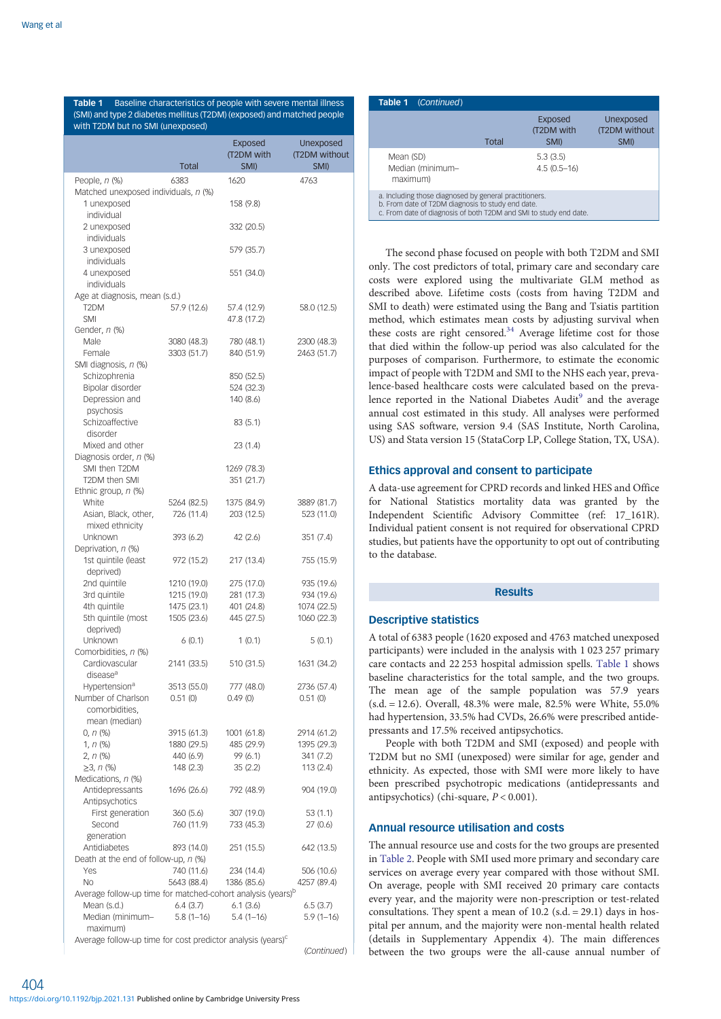<span id="page-2-0"></span>Table 1 Baseline characteristics of people with severe mental illness (SMI) and type 2 diabetes mellitus (T2DM) (exposed) and matched people with T2DM but no SMI (unexposed)

|                                                                         | <b>Total</b>            | <b>Exposed</b><br>(T2DM with<br>SMI) | Unexposed<br>(T2DM without<br>SMI) |
|-------------------------------------------------------------------------|-------------------------|--------------------------------------|------------------------------------|
| People, $n$ $%$                                                         | 6383                    | 1620                                 | 4763                               |
| Matched unexposed individuals, n (%)<br>1 unexposed<br>individual       |                         | 158 (9.8)                            |                                    |
| 2 unexposed                                                             |                         | 332 (20.5)                           |                                    |
| individuals<br>3 unexposed                                              |                         | 579 (35.7)                           |                                    |
| individuals<br>4 unexposed                                              |                         | 551 (34.0)                           |                                    |
| individuals<br>Age at diagnosis, mean (s.d.)                            |                         |                                      |                                    |
| T2DM                                                                    | 57.9 (12.6)             | 57.4 (12.9)                          | 58.0 (12.5)                        |
| <b>SMI</b>                                                              |                         | 47.8 (17.2)                          |                                    |
| Gender, n (%)                                                           |                         |                                      |                                    |
| Male                                                                    | 3080 (48.3)             | 780 (48.1)                           | 2300 (48.3)                        |
| Female                                                                  | 3303 (51.7)             | 840 (51.9)                           | 2463 (51.7)                        |
| SMI diagnosis, n (%)                                                    |                         |                                      |                                    |
| Schizophrenia                                                           |                         | 850 (52.5)                           |                                    |
| Bipolar disorder                                                        |                         | 524 (32.3)                           |                                    |
| Depression and<br>psychosis                                             |                         | 140 (8.6)                            |                                    |
| Schizoaffective                                                         |                         | 83(5.1)                              |                                    |
| disorder                                                                |                         |                                      |                                    |
| Mixed and other                                                         |                         | 23 (1.4)                             |                                    |
| Diagnosis order, n (%)                                                  |                         |                                      |                                    |
| SMI then T2DM                                                           |                         | 1269 (78.3)                          |                                    |
| T2DM then SMI                                                           |                         | 351 (21.7)                           |                                    |
| Ethnic group, n (%)                                                     |                         |                                      |                                    |
| White                                                                   | 5264 (82.5)             | 1375 (84.9)                          | 3889 (81.7)                        |
| Asian, Black, other,                                                    | 726 (11.4)              | 203 (12.5)                           | 523 (11.0)                         |
| mixed ethnicity<br>Unknown                                              | 393 (6.2)               | 42 (2.6)                             | 351(7.4)                           |
| Deprivation, n (%)                                                      |                         |                                      |                                    |
| 1st quintile (least                                                     | 972 (15.2)              | 217 (13.4)                           | 755 (15.9)                         |
| deprived)                                                               |                         |                                      |                                    |
| 2nd quintile                                                            | 1210 (19.0)             | 275 (17.0)                           | 935 (19.6)                         |
| 3rd quintile                                                            | 1215 (19.0)             | 281 (17.3)                           | 934 (19.6)                         |
| 4th quintile                                                            | 1475 (23.1)             | 401 (24.8)                           | 1074 (22.5)                        |
| 5th quintile (most                                                      | 1505 (23.6)             | 445 (27.5)                           | 1060 (22.3)                        |
| deprived)                                                               |                         |                                      |                                    |
| Unknown                                                                 | 6(0.1)                  | 1(0.1)                               | 5(0.1)                             |
| Comorbidities, n (%)<br>Cardiovascular                                  | 2141 (33.5)             | 510 (31.5)                           | 1631 (34.2)                        |
| disease <sup>a</sup>                                                    |                         |                                      |                                    |
| Hypertension <sup>a</sup>                                               | 3513 (55.0)             | 777 (48.0)                           | 2736 (57.4)                        |
| Number of Charlson                                                      | 0.51(0)                 | 0.49(0)                              | 0.51(0)                            |
| comorbidities,                                                          |                         |                                      |                                    |
| mean (median)                                                           |                         |                                      |                                    |
| $0, n$ (%)                                                              | 3915 (61.3)             | 1001 (61.8)                          | 2914 (61.2)                        |
| $1, n$ (%)                                                              | 1880 (29.5)             | 485 (29.9)                           | 1395 (29.3)                        |
| 2, n (%)                                                                | 440 (6.9)               | 99 (6.1)                             | 341 (7.2)                          |
| $\geq$ 3, n (%)                                                         | 148 (2.3)               | 35(2.2)                              | 113(2.4)                           |
| Medications, n (%)<br>Antidepressants                                   | 1696 (26.6)             | 792 (48.9)                           | 904 (19.0)                         |
| Antipsychotics                                                          |                         |                                      |                                    |
| First generation                                                        | 360 (5.6)               | 307 (19.0)                           | 53 (1.1)                           |
| Second                                                                  | 760 (11.9)              | 733 (45.3)                           | 27(0.6)                            |
| generation                                                              |                         |                                      |                                    |
| Antidiabetes                                                            | 893 (14.0)              | 251 (15.5)                           | 642 (13.5)                         |
| Death at the end of follow-up, n (%)                                    |                         |                                      |                                    |
| Yes                                                                     | 740 (11.6)              | 234 (14.4)                           | 506 (10.6)                         |
| No                                                                      | 5643 (88.4)             | 1386 (85.6)                          | 4257 (89.4)                        |
| Average follow-up time for matched-cohort analysis (years) <sup>b</sup> |                         |                                      |                                    |
| Mean (s.d.)<br>Median (minimum-                                         | 6.4(3.7)<br>$5.8(1-16)$ | 6.1(3.6)<br>$5.4(1-16)$              | 6.5(3.7)<br>$5.9(1-16)$            |
| maximum)                                                                |                         |                                      |                                    |

Average follow-up time for cost predictor analysis (years)<sup>c</sup>

(Continued)

| Table 1 (Continued)                                                                                                                                                              |       |                                      |                                    |  |  |
|----------------------------------------------------------------------------------------------------------------------------------------------------------------------------------|-------|--------------------------------------|------------------------------------|--|--|
|                                                                                                                                                                                  | Total | <b>Exposed</b><br>(T2DM with<br>SMI) | Unexposed<br>(T2DM without<br>SMI) |  |  |
| Mean (SD)<br>Median (minimum-<br>maximum)                                                                                                                                        |       | 5.3(3.5)<br>$4.5(0.5-16)$            |                                    |  |  |
| a. Including those diagnosed by general practitioners.<br>b. From date of T2DM diagnosis to study end date.<br>c. From date of diagnosis of both T2DM and SMI to study end date. |       |                                      |                                    |  |  |

The second phase focused on people with both T2DM and SMI only. The cost predictors of total, primary care and secondary care costs were explored using the multivariate GLM method as described above. Lifetime costs (costs from having T2DM and SMI to death) were estimated using the Bang and Tsiatis partition method, which estimates mean costs by adjusting survival when these costs are right censored.<sup>34</sup> Average lifetime cost for those that died within the follow-up period was also calculated for the purposes of comparison. Furthermore, to estimate the economic impact of people with T2DM and SMI to the NHS each year, prevalence-based healthcare costs were calculated based on the preva-lence reported in the National Diabetes Audit<sup>[9](#page-6-0)</sup> and the average annual cost estimated in this study. All analyses were performed using SAS software, version 9.4 (SAS Institute, North Carolina, US) and Stata version 15 (StataCorp LP, College Station, TX, USA).

## Ethics approval and consent to participate

A data-use agreement for CPRD records and linked HES and Office for National Statistics mortality data was granted by the Independent Scientific Advisory Committee (ref: 17\_161R). Individual patient consent is not required for observational CPRD studies, but patients have the opportunity to opt out of contributing to the database.

#### Results

#### Descriptive statistics

A total of 6383 people (1620 exposed and 4763 matched unexposed participants) were included in the analysis with 1 023 257 primary care contacts and 22 253 hospital admission spells. Table 1 shows baseline characteristics for the total sample, and the two groups. The mean age of the sample population was 57.9 years (s.d. = 12.6). Overall, 48.3% were male, 82.5% were White, 55.0% had hypertension, 33.5% had CVDs, 26.6% were prescribed antidepressants and 17.5% received antipsychotics.

People with both T2DM and SMI (exposed) and people with T2DM but no SMI (unexposed) were similar for age, gender and ethnicity. As expected, those with SMI were more likely to have been prescribed psychotropic medications (antidepressants and antipsychotics) (chi-square,  $P < 0.001$ ).

## Annual resource utilisation and costs

The annual resource use and costs for the two groups are presented in [Table 2](#page-3-0). People with SMI used more primary and secondary care services on average every year compared with those without SMI. On average, people with SMI received 20 primary care contacts every year, and the majority were non-prescription or test-related consultations. They spent a mean of  $10.2$  (s.d. = 29.1) days in hospital per annum, and the majority were non-mental health related (details in Supplementary Appendix 4). The main differences between the two groups were the all-cause annual number of

404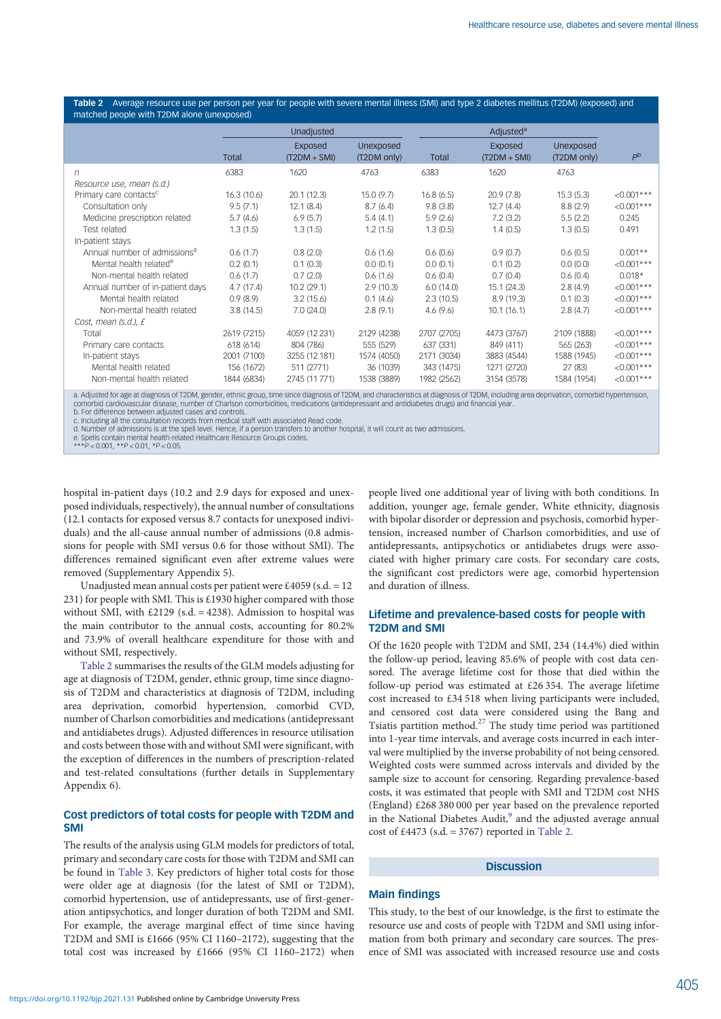<span id="page-3-0"></span>Table 2 Average resource use per person per year for people with severe mental illness (SMI) and type 2 diabetes mellitus (T2DM) (exposed) and matched people with T2DM alone (unexposed)

|                                          | Unadjusted  |                           |                          | Adjusted <sup>a</sup> |                           |                          |                |
|------------------------------------------|-------------|---------------------------|--------------------------|-----------------------|---------------------------|--------------------------|----------------|
|                                          | Total       | Exposed<br>$(T2DM + SMI)$ | Unexposed<br>(T2DM only) | <b>Total</b>          | Exposed<br>$(T2DM + SMI)$ | Unexposed<br>(T2DM only) | P <sup>b</sup> |
| n                                        | 6383        | 1620                      | 4763                     | 6383                  | 1620                      | 4763                     |                |
| Resource use, mean (s.d.)                |             |                           |                          |                       |                           |                          |                |
| Primary care contacts <sup>c</sup>       | 16.3(10.6)  | 20.1(12.3)                | 15.0(9.7)                | 16.8(6.5)             | 20.9(7.8)                 | 15.3(5.3)                | $< 0.001***$   |
| Consultation only                        | 9.5(7.1)    | 12.1(8.4)                 | 8.7(6.4)                 | 9.8(3.8)              | 12.7(4.4)                 | 8.8(2.9)                 | $<0.001***$    |
| Medicine prescription related            | 5.7(4.6)    | 6.9(5.7)                  | 5.4(4.1)                 | 5.9(2.6)              | 7.2(3.2)                  | 5.5(2.2)                 | 0.245          |
| Test related                             | 1.3(1.5)    | 1.3(1.5)                  | 1.2(1.5)                 | 1.3(0.5)              | 1.4(0.5)                  | 1.3(0.5)                 | 0.491          |
| In-patient stays                         |             |                           |                          |                       |                           |                          |                |
| Annual number of admissions <sup>d</sup> | 0.6(1.7)    | 0.8(2.0)                  | 0.6(1.6)                 | 0.6(0.6)              | 0.9(0.7)                  | 0.6(0.5)                 | $0.001**$      |
| Mental health related <sup>e</sup>       | 0.2(0.1)    | 0.1(0.3)                  | 0.0(0.1)                 | 0.0(0.1)              | 0.1(0.2)                  | 0.0(0.0)                 | $<0.001***$    |
| Non-mental health related                | 0.6(1.7)    | 0.7(2.0)                  | 0.6(1.6)                 | 0.6(0.4)              | 0.7(0.4)                  | 0.6(0.4)                 | $0.018*$       |
| Annual number of in-patient days         | 4.7(17.4)   | 10.2(29.1)                | 2.9(10.3)                | 6.0(14.0)             | 15.1(24.3)                | 2.8(4.9)                 | $< 0.001***$   |
| Mental health related                    | 0.9(8.9)    | 3.2(15.6)                 | 0.1(4.6)                 | 2.3(10.5)             | 8.9(19.3)                 | 0.1(0.3)                 | $< 0.001***$   |
| Non-mental health related                | 3.8(14.5)   | 7.0(24.0)                 | 2.8(9.1)                 | 4.6(9.6)              | 10.1(16.1)                | 2.8(4.7)                 | $<0.001***$    |
| Cost, mean (s.d.), £                     |             |                           |                          |                       |                           |                          |                |
| Total                                    | 2619 (7215) | 4059 (12 231)             | 2129 (4238)              | 2707 (2705)           | 4473 (3767)               | 2109 (1888)              | $<0.001***$    |
| Primary care contacts                    | 618 (614)   | 804 (786)                 | 555 (529)                | 637 (331)             | 849 (411)                 | 565 (263)                | $<0.001***$    |
| In-patient stays                         | 2001 (7100) | 3255 (12 181)             | 1574 (4050)              | 2171 (3034)           | 3883 (4544)               | 1588 (1945)              | $<0.001***$    |
| Mental health related                    | 156 (1672)  | 511 (2771)                | 36 (1039)                | 343 (1475)            | 1271 (2720)               | 27 (83)                  | $< 0.001***$   |
| Non-mental health related                | 1844 (6834) | 2745 (11771)              | 1538 (3889)              | 1982 (2562)           | 3154 (3578)               | 1584 (1954)              | $<0.001***$    |

a. Adjusted for age at diagnosis of T2DM, gender, ethnic group, time since diagnosis of T2DM, and characteristics at diagnosis of T2DM, including area deprivation, comorbid hypertension,<br>comorbid cardiovascular disease, nu

c. Including all the consultation records from medical staff with associated Read code. d. Number of admissions is at the spell level. Hence, if a person transfers to another hospital, it will count as two admissions.

e. Spells contain mental health-related Healthcare Resource Groups codes. \*\*\*P < 0.001, \*\*P < 0.01, \*P < 0.05.

hospital in-patient days (10.2 and 2.9 days for exposed and unexposed individuals, respectively), the annual number of consultations (12.1 contacts for exposed versus 8.7 contacts for unexposed individuals) and the all-cause annual number of admissions (0.8 admissions for people with SMI versus 0.6 for those without SMI). The differences remained significant even after extreme values were removed (Supplementary Appendix 5).

Unadjusted mean annual costs per patient were £4059 (s.d. =  $12$ ) 231) for people with SMI. This is £1930 higher compared with those without SMI, with £2129 (s.d. = 4238). Admission to hospital was the main contributor to the annual costs, accounting for 80.2% and 73.9% of overall healthcare expenditure for those with and without SMI, respectively.

Table 2 summarises the results of the GLM models adjusting for age at diagnosis of T2DM, gender, ethnic group, time since diagnosis of T2DM and characteristics at diagnosis of T2DM, including area deprivation, comorbid hypertension, comorbid CVD, number of Charlson comorbidities and medications (antidepressant and antidiabetes drugs). Adjusted differences in resource utilisation and costs between those with and without SMI were significant, with the exception of differences in the numbers of prescription-related and test-related consultations (further details in Supplementary Appendix 6).

## Cost predictors of total costs for people with T2DM and SMI

The results of the analysis using GLM models for predictors of total, primary and secondary care costs for those with T2DM and SMI can be found in [Table 3.](#page-4-0) Key predictors of higher total costs for those were older age at diagnosis (for the latest of SMI or T2DM), comorbid hypertension, use of antidepressants, use of first-generation antipsychotics, and longer duration of both T2DM and SMI. For example, the average marginal effect of time since having T2DM and SMI is £1666 (95% CI 1160–2172), suggesting that the total cost was increased by £1666 (95% CI 1160–2172) when

people lived one additional year of living with both conditions. In addition, younger age, female gender, White ethnicity, diagnosis with bipolar disorder or depression and psychosis, comorbid hypertension, increased number of Charlson comorbidities, and use of antidepressants, antipsychotics or antidiabetes drugs were associated with higher primary care costs. For secondary care costs, the significant cost predictors were age, comorbid hypertension and duration of illness.

## Lifetime and prevalence-based costs for people with T2DM and SMI

Of the 1620 people with T2DM and SMI, 234 (14.4%) died within the follow-up period, leaving 85.6% of people with cost data censored. The average lifetime cost for those that died within the follow-up period was estimated at £26 354. The average lifetime cost increased to £34 518 when living participants were included, and censored cost data were considered using the Bang and Tsiatis partition method.[27](#page-7-0) The study time period was partitioned into 1-year time intervals, and average costs incurred in each interval were multiplied by the inverse probability of not being censored. Weighted costs were summed across intervals and divided by the sample size to account for censoring. Regarding prevalence-based costs, it was estimated that people with SMI and T2DM cost NHS (England) £268 380 000 per year based on the prevalence reported in the National Diabetes Audit,<sup>[9](#page-6-0)</sup> and the adjusted average annual cost of  $\text{\pounds}4473$  (s.d. = 3767) reported in Table 2.

## **Discussion**

## Main findings

This study, to the best of our knowledge, is the first to estimate the resource use and costs of people with T2DM and SMI using information from both primary and secondary care sources. The presence of SMI was associated with increased resource use and costs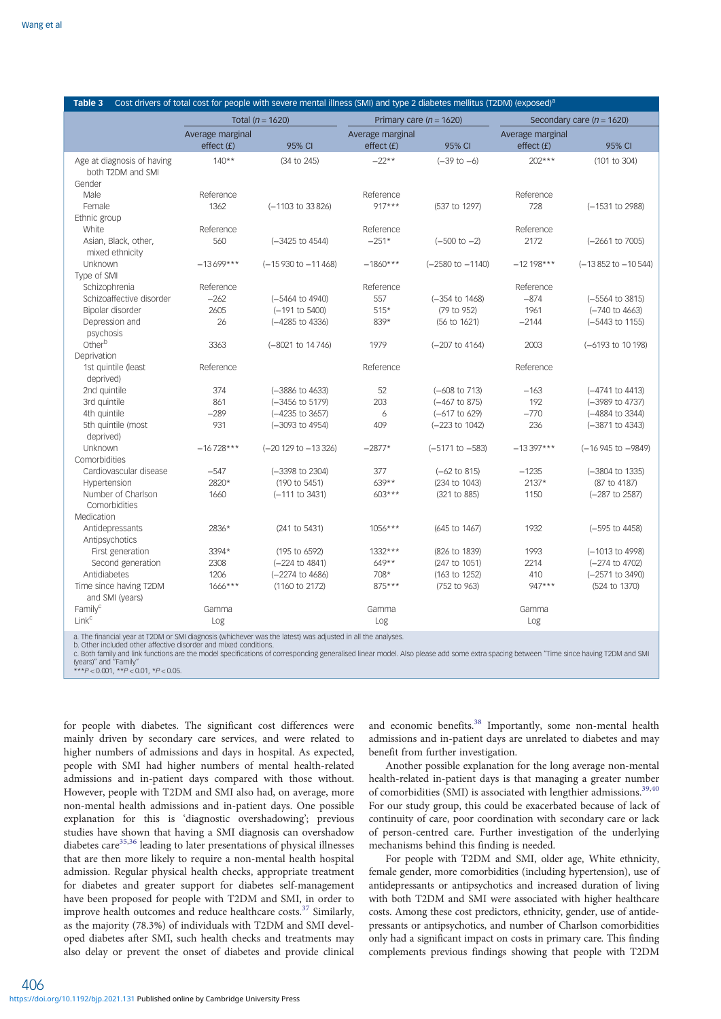<span id="page-4-0"></span>

| Table 3                                   |                  | Cost drivers of total cost for people with severe mental illness (SMI) and type 2 diabetes mellitus (T2DM) (exposed) <sup>a</sup> |                  |                             |                  |                               |  |
|-------------------------------------------|------------------|-----------------------------------------------------------------------------------------------------------------------------------|------------------|-----------------------------|------------------|-------------------------------|--|
|                                           |                  | Total ( $n = 1620$ )                                                                                                              |                  | Primary care ( $n = 1620$ ) |                  | Secondary care ( $n = 1620$ ) |  |
|                                           | Average marginal |                                                                                                                                   | Average marginal |                             | Average marginal |                               |  |
|                                           | effect(f)        | 95% CI                                                                                                                            | effect(f)        | 95% CI                      | effect(f)        | 95% CI                        |  |
| Age at diagnosis of having                | $140**$          | (34 to 245)                                                                                                                       | $-22**$          | $(-39 to -6)$               | $202***$         | (101 to 304)                  |  |
| both T2DM and SMI                         |                  |                                                                                                                                   |                  |                             |                  |                               |  |
| Gender                                    |                  |                                                                                                                                   |                  |                             |                  |                               |  |
| Male                                      | Reference        |                                                                                                                                   | Reference        |                             | Reference        |                               |  |
| Female                                    | 1362             | (-1103 to 33826)                                                                                                                  | $917***$         | (537 to 1297)               | 728              | (-1531 to 2988)               |  |
| Ethnic group                              |                  |                                                                                                                                   |                  |                             |                  |                               |  |
| White                                     | Reference        |                                                                                                                                   | Reference        |                             | Reference        |                               |  |
| Asian, Black, other,                      | 560              | $(-3425$ to $4544)$                                                                                                               | $-251*$          | $(-500 \text{ to } -2)$     | 2172             | $(-2661$ to $7005)$           |  |
| mixed ethnicity                           |                  |                                                                                                                                   |                  |                             |                  |                               |  |
| Unknown                                   | $-13699***$      | $(-15930 \text{ to } -11468)$                                                                                                     | $-1860***$       | $(-2580 \text{ to } -1140)$ | $-12198***$      | $(-13852$ to $-10544)$        |  |
| Type of SMI                               |                  |                                                                                                                                   |                  |                             |                  |                               |  |
| Schizophrenia                             | Reference        |                                                                                                                                   | Reference        |                             | Reference        |                               |  |
| Schizoaffective disorder                  | $-262$           | (-5464 to 4940)                                                                                                                   | 557              | $(-354$ to $1468)$          | $-874$           | $(-5564 \text{ to } 3815)$    |  |
| Bipolar disorder                          | 2605             | (-191 to 5400)                                                                                                                    | $515*$           | (79 to 952)                 | 1961             | $(-740 \text{ to } 4663)$     |  |
| Depression and<br>psychosis               | 26               | (-4285 to 4336)                                                                                                                   | 839*             | (56 to 1621)                | $-2144$          | (-5443 to 1155)               |  |
| Otherb                                    | 3363             | (-8021 to 14746)                                                                                                                  | 1979             | $(-207$ to 4164)            | 2003             | (-6193 to 10 198)             |  |
| Deprivation                               |                  |                                                                                                                                   |                  |                             |                  |                               |  |
| 1st quintile (least                       | Reference        |                                                                                                                                   | Reference        |                             | Reference        |                               |  |
| deprived)                                 |                  |                                                                                                                                   |                  |                             |                  |                               |  |
| 2nd quintile                              | 374              | (-3886 to 4633)                                                                                                                   | 52               | $(-608 \text{ to } 713)$    | $-163$           | $(-4741$ to $4413)$           |  |
| 3rd quintile                              | 861              | (-3456 to 5179)                                                                                                                   | 203              | (-467 to 875)               | 192              | (-3989 to 4737)               |  |
| 4th quintile                              | $-289$           | $(-4235$ to $3657)$                                                                                                               | 6                | (-617 to 629)               | $-770$           | (-4884 to 3344)               |  |
| 5th quintile (most                        | 931              | (-3093 to 4954)                                                                                                                   | 409              | $(-223$ to $1042)$          | 236              | (-3871 to 4343)               |  |
| deprived)                                 |                  |                                                                                                                                   |                  |                             |                  |                               |  |
| Unknown                                   | $-16728***$      | $(-20129$ to $-13326)$                                                                                                            | $-2877*$         | $(-5171$ to $-583)$         | $-13.397***$     | (-16 945 to -9849)            |  |
| Comorbidities                             |                  |                                                                                                                                   |                  |                             |                  |                               |  |
| Cardiovascular disease                    | $-547$           | (-3398 to 2304)                                                                                                                   | 377              | $(-62 \text{ to } 815)$     | $-1235$          | (-3804 to 1335)               |  |
| Hypertension                              | 2820*            | (190 to 5451)                                                                                                                     | 639**            | (234 to 1043)               | $2137*$          | (87 to 4187)                  |  |
| Number of Charlson                        | 1660             | (-111 to 3431)                                                                                                                    | 603***           | (321 to 885)                | 1150             | (-287 to 2587)                |  |
| Comorbidities                             |                  |                                                                                                                                   |                  |                             |                  |                               |  |
| Medication                                |                  |                                                                                                                                   |                  |                             |                  |                               |  |
| Antidepressants                           | 2836*            | (241 to 5431)                                                                                                                     | 1056***          | (645 to 1467)               | 1932             | (-595 to 4458)                |  |
| Antipsychotics                            |                  |                                                                                                                                   |                  |                             |                  |                               |  |
| First generation                          | 3394*            | (195 to 6592)                                                                                                                     | 1332***          | (826 to 1839)               | 1993             | (-1013 to 4998)               |  |
| Second generation                         | 2308             | (-224 to 4841)                                                                                                                    | 649**            | (247 to 1051)               | 2214             | (-274 to 4702)                |  |
| Antidiabetes                              | 1206             | (-2274 to 4686)                                                                                                                   | 708*             | (163 to 1252)               | 410              | (-2571 to 3490)               |  |
| Time since having T2DM<br>and SMI (years) | $1666***$        | (1160 to 2172)                                                                                                                    | 875***           | (752 to 963)                | 947***           | (524 to 1370)                 |  |
| Family <sup>c</sup>                       | Gamma            |                                                                                                                                   | Gamma            |                             | Gamma            |                               |  |
| Link <sup>c</sup>                         | Log              |                                                                                                                                   | Log              |                             | Log              |                               |  |
|                                           |                  |                                                                                                                                   |                  |                             |                  |                               |  |

a. The financial year at T2DM or SMI diagnosis (whichever was the latest) was adjusted in all the analyses.<br>b. Other included other affective disorder and mixed conditions.<br>c. Both family and link functions are the model s

for people with diabetes. The significant cost differences were mainly driven by secondary care services, and were related to higher numbers of admissions and days in hospital. As expected, people with SMI had higher numbers of mental health-related admissions and in-patient days compared with those without. However, people with T2DM and SMI also had, on average, more non-mental health admissions and in-patient days. One possible explanation for this is 'diagnostic overshadowing'; previous studies have shown that having a SMI diagnosis can overshadow diabetes care<sup>[35](#page-7-0),[36](#page-7-0)</sup> leading to later presentations of physical illnesses that are then more likely to require a non-mental health hospital admission. Regular physical health checks, appropriate treatment for diabetes and greater support for diabetes self-management have been proposed for people with T2DM and SMI, in order to improve health outcomes and reduce healthcare costs.<sup>[37](#page-7-0)</sup> Similarly, as the majority (78.3%) of individuals with T2DM and SMI developed diabetes after SMI, such health checks and treatments may also delay or prevent the onset of diabetes and provide clinical

and economic benefits.<sup>38</sup> Importantly, some non-mental health admissions and in-patient days are unrelated to diabetes and may benefit from further investigation.

Another possible explanation for the long average non-mental health-related in-patient days is that managing a greater number of comorbidities (SMI) is associated with lengthier admissions.<sup>[39,40](#page-7-0)</sup> For our study group, this could be exacerbated because of lack of continuity of care, poor coordination with secondary care or lack of person-centred care. Further investigation of the underlying mechanisms behind this finding is needed.

For people with T2DM and SMI, older age, White ethnicity, female gender, more comorbidities (including hypertension), use of antidepressants or antipsychotics and increased duration of living with both T2DM and SMI were associated with higher healthcare costs. Among these cost predictors, ethnicity, gender, use of antidepressants or antipsychotics, and number of Charlson comorbidities only had a significant impact on costs in primary care. This finding complements previous findings showing that people with T2DM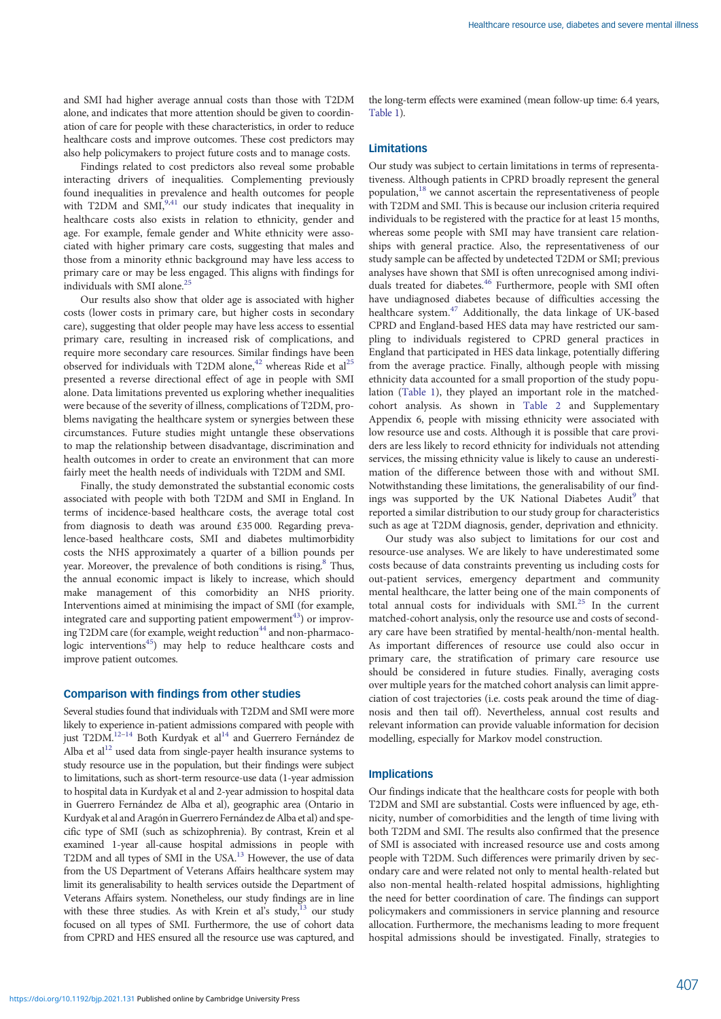and SMI had higher average annual costs than those with T2DM alone, and indicates that more attention should be given to coordination of care for people with these characteristics, in order to reduce healthcare costs and improve outcomes. These cost predictors may also help policymakers to project future costs and to manage costs.

Findings related to cost predictors also reveal some probable interacting drivers of inequalities. Complementing previously found inequalities in prevalence and health outcomes for people with T2DM and SMI, $9,41$  $9,41$  $9,41$  our study indicates that inequality in healthcare costs also exists in relation to ethnicity, gender and age. For example, female gender and White ethnicity were associated with higher primary care costs, suggesting that males and those from a minority ethnic background may have less access to primary care or may be less engaged. This aligns with findings for individuals with SMI alone.<sup>2</sup>

Our results also show that older age is associated with higher costs (lower costs in primary care, but higher costs in secondary care), suggesting that older people may have less access to essential primary care, resulting in increased risk of complications, and require more secondary care resources. Similar findings have been observed for individuals with T2DM alone,<sup>42</sup> whereas Ride et al<sup>25</sup> presented a reverse directional effect of age in people with SMI alone. Data limitations prevented us exploring whether inequalities were because of the severity of illness, complications of T2DM, problems navigating the healthcare system or synergies between these circumstances. Future studies might untangle these observations to map the relationship between disadvantage, discrimination and health outcomes in order to create an environment that can more fairly meet the health needs of individuals with T2DM and SMI.

Finally, the study demonstrated the substantial economic costs associated with people with both T2DM and SMI in England. In terms of incidence-based healthcare costs, the average total cost from diagnosis to death was around £35 000. Regarding prevalence-based healthcare costs, SMI and diabetes multimorbidity costs the NHS approximately a quarter of a billion pounds per year. Moreover, the prevalence of both conditions is rising.<sup>8</sup> Thus, the annual economic impact is likely to increase, which should make management of this comorbidity an NHS priority. Interventions aimed at minimising the impact of SMI (for example, integrated care and supporting patient empowerment<sup>43</sup>) or improv-ing T2DM care (for example, weight reduction<sup>[44](#page-7-0)</sup> and non-pharmacologic interventions<sup>45</sup>) may help to reduce healthcare costs and improve patient outcomes.

## Comparison with findings from other studies

Several studies found that individuals with T2DM and SMI were more likely to experience in-patient admissions compared with people with just T2DM.<sup>12–[14](#page-6-0)</sup> Both Kurdyak et al<sup>14</sup> and Guerrero Fernández de Alba et  $al<sup>12</sup>$  used data from single-payer health insurance systems to study resource use in the population, but their findings were subject to limitations, such as short-term resource-use data (1-year admission to hospital data in Kurdyak et al and 2-year admission to hospital data in Guerrero Fernández de Alba et al), geographic area (Ontario in Kurdyak et al and Aragón in Guerrero Fernández de Alba et al) and specific type of SMI (such as schizophrenia). By contrast, Krein et al examined 1-year all-cause hospital admissions in people with T2DM and all types of SMI in the USA.<sup>13</sup> However, the use of data from the US Department of Veterans Affairs healthcare system may limit its generalisability to health services outside the Department of Veterans Affairs system. Nonetheless, our study findings are in line with these three studies. As with Krein et al's study, $13$  our study focused on all types of SMI. Furthermore, the use of cohort data from CPRD and HES ensured all the resource use was captured, and

the long-term effects were examined (mean follow-up time: 6.4 years, [Table 1](#page-2-0)).

## Limitations

Our study was subject to certain limitations in terms of representativeness. Although patients in CPRD broadly represent the general population,[18](#page-6-0) we cannot ascertain the representativeness of people with T2DM and SMI. This is because our inclusion criteria required individuals to be registered with the practice for at least 15 months, whereas some people with SMI may have transient care relationships with general practice. Also, the representativeness of our study sample can be affected by undetected T2DM or SMI; previous analyses have shown that SMI is often unrecognised among indivi-duals treated for diabetes.<sup>[46](#page-7-0)</sup> Furthermore, people with SMI often have undiagnosed diabetes because of difficulties accessing the healthcare system.[47](#page-7-0) Additionally, the data linkage of UK-based CPRD and England-based HES data may have restricted our sampling to individuals registered to CPRD general practices in England that participated in HES data linkage, potentially differing from the average practice. Finally, although people with missing ethnicity data accounted for a small proportion of the study population ([Table 1\)](#page-2-0), they played an important role in the matchedcohort analysis. As shown in [Table 2](#page-3-0) and Supplementary Appendix 6, people with missing ethnicity were associated with low resource use and costs. Although it is possible that care providers are less likely to record ethnicity for individuals not attending services, the missing ethnicity value is likely to cause an underestimation of the difference between those with and without SMI. Notwithstanding these limitations, the generalisability of our find-ings was supported by the UK National Diabetes Audit<sup>[9](#page-6-0)</sup> that reported a similar distribution to our study group for characteristics such as age at T2DM diagnosis, gender, deprivation and ethnicity.

Our study was also subject to limitations for our cost and resource-use analyses. We are likely to have underestimated some costs because of data constraints preventing us including costs for out-patient services, emergency department and community mental healthcare, the latter being one of the main components of total annual costs for individuals with SMI.[25](#page-7-0) In the current matched-cohort analysis, only the resource use and costs of secondary care have been stratified by mental-health/non-mental health. As important differences of resource use could also occur in primary care, the stratification of primary care resource use should be considered in future studies. Finally, averaging costs over multiple years for the matched cohort analysis can limit appreciation of cost trajectories (i.e. costs peak around the time of diagnosis and then tail off). Nevertheless, annual cost results and relevant information can provide valuable information for decision modelling, especially for Markov model construction.

#### Implications

Our findings indicate that the healthcare costs for people with both T2DM and SMI are substantial. Costs were influenced by age, ethnicity, number of comorbidities and the length of time living with both T2DM and SMI. The results also confirmed that the presence of SMI is associated with increased resource use and costs among people with T2DM. Such differences were primarily driven by secondary care and were related not only to mental health-related but also non-mental health-related hospital admissions, highlighting the need for better coordination of care. The findings can support policymakers and commissioners in service planning and resource allocation. Furthermore, the mechanisms leading to more frequent hospital admissions should be investigated. Finally, strategies to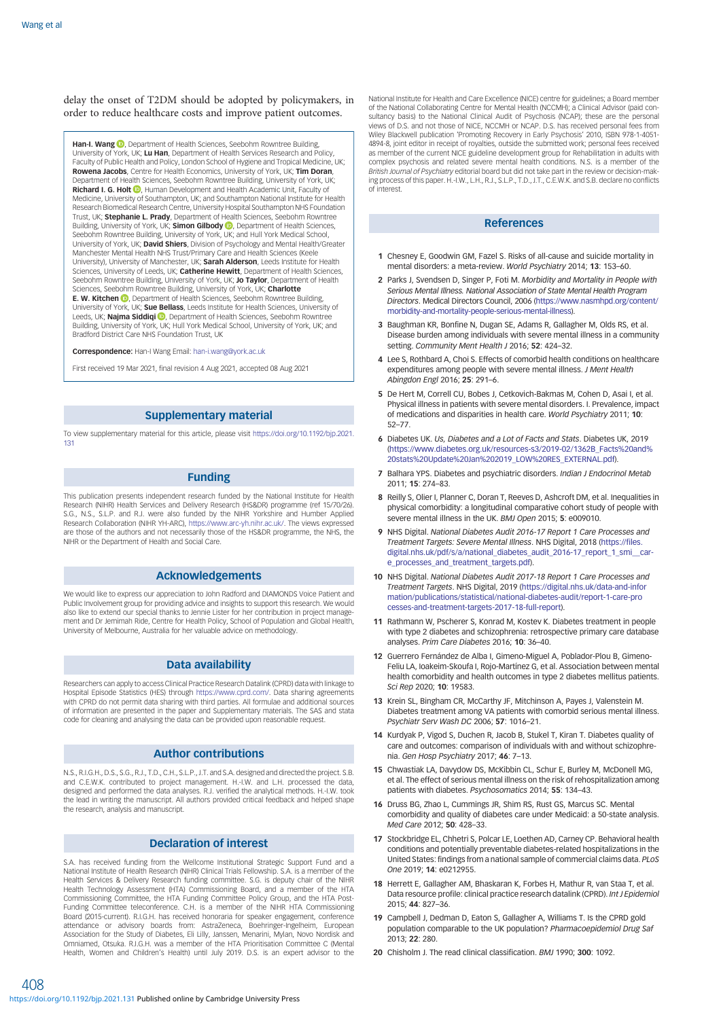<span id="page-6-0"></span>delay the onset of T2DM should be adopted by policymakers, in order to reduce healthcare costs and improve patient outcomes.

Han-I. Wang **D**[,](https://orcid.org/0000-0002-3521-993X) Department of Health Sciences, Seebohm Rowntree Building University of York, UK; Lu Han, Department of Health Services Research and Policy, Faculty of Public Health and Policy, London School of Hygiene and Tropical Medicine, UK; **Rowena Jacobs,** Centre for Health Economics, University of York, UK; **Tim Doran,**<br>Department of Health Sciences, Seebohm Rowntree Building, University of York, UK; Richard I. G. Holt  $\textcircled{\tiny{\textcircled{\textcirc}}}$ , Human Development and Health Academic Unit, Faculty of Medicine, University of Southampton, UK; and Southampton National Institute for Health Research Biomedical Research Centre, University Hospital Southampton NHS Foundation Trust, UK; Stephanie L. Prady, Department of Health Sciences, Seebohm Rowntree Building, University of York, UK; **Simon Gilbody ©**, Department of Health Sciences,<br>Seebohm Rowntree Building, University of York, UK; and Hull York Medical School, University of York, UK; David Shiers, Division of Psychology and Mental Health/Greater Manchester Mental Health NHS Trust/Primary Care and Health Sciences (Keele<br>University), University of Manchester, UK; **Sarah Alderson**, Leeds Institute for Health Sciences, University of Leeds, UK; Catherine Hewitt, Department of Health Sciences, Seebohm Rowntree Building, University of York, UK; **Jo Taylor**, Department of Health<br>Sciences, Seebohm Rowntree Building, University of York, UK; **Charlotte** E. W. Kitchen **D**, Department of Health Sciences, Seebohm Rowntree Building, University of York, UK; Sue Bellass, Leeds Institute for Health Sciences, University of Leeds[,](https://orcid.org/0000-0003-1794-2152) UK; **Najma Siddiqi ID**, Department of Health Sciences, Seebohm Rowntree Building, University of York, UK; Hull York Medical School, University of York, UK; and Bradford District Care NHS Foundation Trust, UK

Correspondence: Han-I Wang Email: [han-i.wang@york.ac.uk](mailto:han-i.wang@york.ac.uk)

First received 19 Mar 2021, final revision 4 Aug 2021, accepted 08 Aug 2021

#### Supplementary material

To view supplementary material for this article, please visit [https://doi.org/10.1192/bjp.2021.](https://doi.org/10.1192/bjp.2021.131) [131](https://doi.org/10.1192/bjp.2021.131)

#### Funding

This publication presents independent research funded by the National Institute for Health Research (NIHR) Health Services and Delivery Research (HS&DR) programme (ref 15/70/26). S.G., N.S., S.L.P. and R.J. were also funded by the NIHR Yorkshire and Humber Applied Research Collaboration (NIHR YH-ARC), <https://www.arc-yh.nihr.ac.uk/>. The views expressed are those of the authors and not necessarily those of the HS&DR programme, the NHS, the NIHR or the Department of Health and Social Care.

#### Acknowledgements

We would like to express our appreciation to John Radford and DIAMONDS Voice Patient and Public Involvement group for providing advice and insights to support this research. We would also like to extend our special thanks to Jennie Lister for her contribution in project management and Dr Jemimah Ride, Centre for Health Policy, School of Population and Global Health, University of Melbourne, Australia for her valuable advice on methodology.

#### Data availability

Researchers can apply to access Clinical Practice Research Datalink (CPRD) data with linkage to Hospital Episode Statistics (HES) through <https://www.cprd.com/>. Data sharing agreements with CPRD do not permit data sharing with third parties. All formulae and additional sources of information are presented in the paper and Supplementary materials. The SAS and stata code for cleaning and analysing the data can be provided upon reasonable request.

#### Author contributions

N.S., R.I.G.H., D.S., S.G., R.J., T.D., C.H., S.L.P., J.T. and S.A. designed and directed the project. S.B. and C.E.W.K. contributed to project management. H.-I.W. and L.H. processed the data, designed and performed the data analyses. R.J. verified the analytical methods. H.-I.W. took the lead in writing the manuscript. All authors provided critical feedback and helped shape the research, analysis and manuscript.

#### Declaration of interest

S.A. has received funding from the Wellcome Institutional Strategic Support Fund and a National Institute of Health Research (NIHR) Clinical Trials Fellowship. S.A. is a member of the Health Services & Delivery Research funding committee. S.G. is deputy chair of the NIHR Health Technology Assessment (HTA) Commissioning Board, and a member of the HTA Commissioning Committee, the HTA Funding Committee Policy Group, and the HTA Post-Funding Committee teleconference. C.H. is a member of the NIHR HTA Commissioning Board (2015-current). R.I.G.H. has received honoraria for speaker engagement, conference attendance or advisory boards from: AstraZeneca, Boehringer-Ingelheim, European Association for the Study of Diabetes, Eli Lilly, Janssen, Menarini, Mylan, Novo Nordisk and Omniamed, Otsuka. R.I.G.H. was a member of the HTA Prioritisation Committee C (Mental Health, Women and Children's Health) until July 2019. D.S. is an expert advisor to the National Institute for Health and Care Excellence (NICE) centre for guidelines; a Board member of the National Collaborating Centre for Mental Health (NCCMH); a Clinical Advisor (paid consultancy basis) to the National Clinical Audit of Psychosis (NCAP); these are the personal views of D.S. and not those of NICE, NCCMH or NCAP. D.S. has received personal fees from Wiley Blackwell publication 'Promoting Recovery in Early Psychosis' 2010, ISBN 978-1-4051- 4894-8, joint editor in receipt of royalties, outside the submitted work; personal fees received as member of the current NICE guideline development group for Rehabilitation in adults with complex psychosis and related severe mental health conditions. N.S. is a member of the British Journal of Psychiatry editorial board but did not take part in the review or decision-making process of this paper. H.-I.W., L.H., R.J., S.L.P., T.D., J.T., C.E.W.K. and S.B. declare no conflicts of interest.

#### References

- 1 Chesney E, Goodwin GM, Fazel S. Risks of all-cause and suicide mortality in mental disorders: a meta-review. World Psychiatry 2014; 13: 153–60.
- 2 Parks J. Svendsen D. Singer P. Foti M. Morbidity and Mortality in People with Serious Mental Illness. National Association of State Mental Health Program Directors. Medical Directors Council, 2006 ([https://www.nasmhpd.org/content/](https://www.nasmhpd.org/content/morbidity-and-mortality-people-serious-mental-illness) [morbidity-and-mortality-people-serious-mental-illness\)](https://www.nasmhpd.org/content/morbidity-and-mortality-people-serious-mental-illness).
- 3 Baughman KR, Bonfine N, Dugan SE, Adams R, Gallagher M, Olds RS, et al. Disease burden among individuals with severe mental illness in a community setting. Community Ment Health J 2016; 52: 424-32.
- 4 Lee S, Rothbard A, Choi S. Effects of comorbid health conditions on healthcare expenditures among people with severe mental illness. J Ment Health Abingdon Engl 2016; 25: 291–6.
- 5 De Hert M, Correll CU, Bobes J, Cetkovich-Bakmas M, Cohen D, Asai I, et al. Physical illness in patients with severe mental disorders. I. Prevalence, impact of medications and disparities in health care. World Psychiatry 2011; 10: 52–77.
- 6 Diabetes UK. Us, Diabetes and a Lot of Facts and Stats. Diabetes UK, 2019 ([https://www.diabetes.org.uk/resources-s3/2019-02/1362B\\_Facts%20and%](https://www.diabetes.org.uk/resources-s3/2019-02/1362B_Facts%20and%20stats%20Update%20Jan%202019_LOW%20RES_EXTERNAL.pdf) [20stats%20Update%20Jan%202019\\_LOW%20RES\\_EXTERNAL.pdf\)](https://www.diabetes.org.uk/resources-s3/2019-02/1362B_Facts%20and%20stats%20Update%20Jan%202019_LOW%20RES_EXTERNAL.pdf).
- 7 Balhara YPS. Diabetes and psychiatric disorders. Indian J Endocrinol Metab 2011; 15: 274–83.
- 8 Reilly S, Olier I, Planner C, Doran T, Reeves D, Ashcroft DM, et al. Inequalities in physical comorbidity: a longitudinal comparative cohort study of people with severe mental illness in the UK. BMJ Open 2015; 5: e009010.
- 9 NHS Digital. National Diabetes Audit 2016-17 Report 1 Care Processes and Treatment Targets: Severe Mental Illness. NHS Digital, 2018 [\(https://files.](https://files.digital.nhs.uk/pdf/s/a/national_diabetes_audit_2016-17_report_1_smi__care_processes_and_treatment_targets.pdf) [digital.nhs.uk/pdf/s/a/national\\_diabetes\\_audit\\_2016-17\\_report\\_1\\_smi\\_\\_car](https://files.digital.nhs.uk/pdf/s/a/national_diabetes_audit_2016-17_report_1_smi__care_processes_and_treatment_targets.pdf)[e\\_processes\\_and\\_treatment\\_targets.pdf\)](https://files.digital.nhs.uk/pdf/s/a/national_diabetes_audit_2016-17_report_1_smi__care_processes_and_treatment_targets.pdf).
- 10 NHS Digital. National Diabetes Audit 2017-18 Report 1 Care Processes and Treatment Targets. NHS Digital, 2019 ([https://digital.nhs.uk/data-and-infor](https://digital.nhs.uk/data-and-information/publications/statistical/national-diabetes-audit/report-1-care-processes-and-treatment-targets-2017-18-full-report) [mation/publications/statistical/national-diabetes-audit/report-1-care-pro](https://digital.nhs.uk/data-and-information/publications/statistical/national-diabetes-audit/report-1-care-processes-and-treatment-targets-2017-18-full-report) [cesses-and-treatment-targets-2017-18-full-report](https://digital.nhs.uk/data-and-information/publications/statistical/national-diabetes-audit/report-1-care-processes-and-treatment-targets-2017-18-full-report)).
- 11 Rathmann W, Pscherer S, Konrad M, Kostev K. Diabetes treatment in people with type 2 diabetes and schizophrenia: retrospective primary care database analyses. Prim Care Diabetes 2016; 10: 36–40.
- 12 Guerrero Fernández de Alba I, Gimeno-Miguel A, Poblador-Plou B, Gimeno-Feliu LA, Ioakeim-Skoufa I, Rojo-Martínez G, et al. Association between mental health comorbidity and health outcomes in type 2 diabetes mellitus patients. Sci Rep 2020; 10: 19583.
- 13 Krein SL, Bingham CR, McCarthy JF, Mitchinson A, Payes J, Valenstein M. Diabetes treatment among VA patients with comorbid serious mental illness. Psychiatr Serv Wash DC 2006; 57: 1016–21.
- 14 Kurdyak P, Vigod S, Duchen R, Jacob B, Stukel T, Kiran T. Diabetes quality of care and outcomes: comparison of individuals with and without schizophrenia. Gen Hosp Psychiatry 2017; 46: 7–13.
- 15 Chwastiak LA, Davydow DS, McKibbin CL, Schur E, Burley M, McDonell MG, et al. The effect of serious mental illness on the risk of rehospitalization among patients with diabetes. Psychosomatics 2014; 55: 134–43.
- 16 Druss BG, Zhao L, Cummings JR, Shim RS, Rust GS, Marcus SC. Mental comorbidity and quality of diabetes care under Medicaid: a 50-state analysis. Med Care 2012; 50: 428–33.
- 17 Stockbridge EL, Chhetri S, Polcar LE, Loethen AD, Carney CP. Behavioral health conditions and potentially preventable diabetes-related hospitalizations in the United States: findings from a national sample of commercial claims data. PLoS One 2019; 14: e0212955.
- 18 Herrett E, Gallagher AM, Bhaskaran K, Forbes H, Mathur R, van Staa T, et al. Data resource profile: clinical practice research datalink (CPRD). Int J Epidemiol 2015; 44: 827–36.
- 19 Campbell J, Dedman D, Eaton S, Gallagher A, Williams T. Is the CPRD gold population comparable to the UK population? Pharmacoepidemiol Drug Saf 2013; 22: 280.
- 20 Chisholm J. The read clinical classification. BMJ 1990; 300: 1092.

408